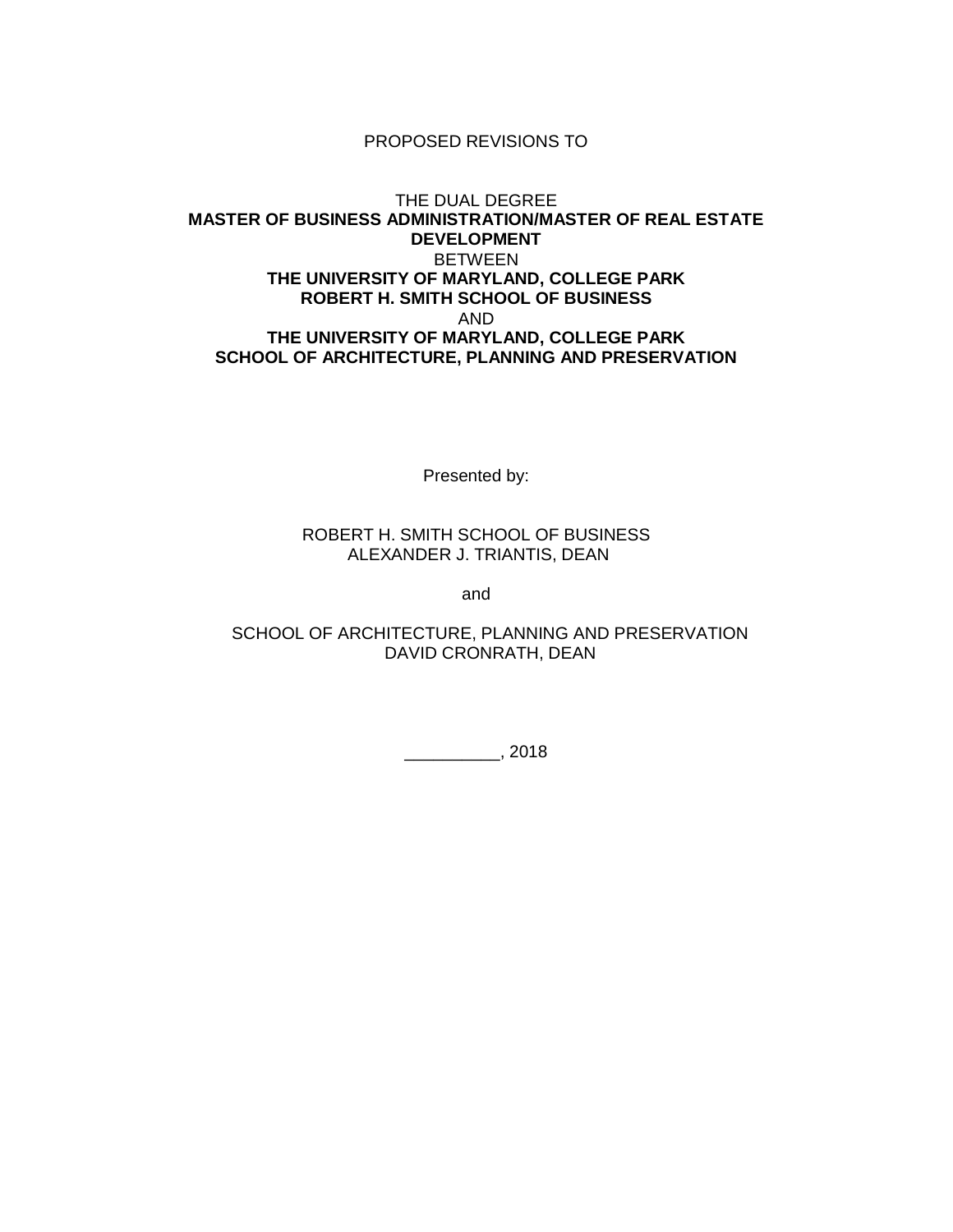#### PROPOSED REVISIONS TO

### THE DUAL DEGREE **MASTER OF BUSINESS ADMINISTRATION/MASTER OF REAL ESTATE DEVELOPMENT** BETWEEN **THE UNIVERSITY OF MARYLAND, COLLEGE PARK ROBERT H. SMITH SCHOOL OF BUSINESS** AND **THE UNIVERSITY OF MARYLAND, COLLEGE PARK SCHOOL OF ARCHITECTURE, PLANNING AND PRESERVATION**

Presented by:

#### ROBERT H. SMITH SCHOOL OF BUSINESS ALEXANDER J. TRIANTIS, DEAN

and

## SCHOOL OF ARCHITECTURE, PLANNING AND PRESERVATION DAVID CRONRATH, DEAN

\_\_\_\_\_\_\_\_\_\_, 2018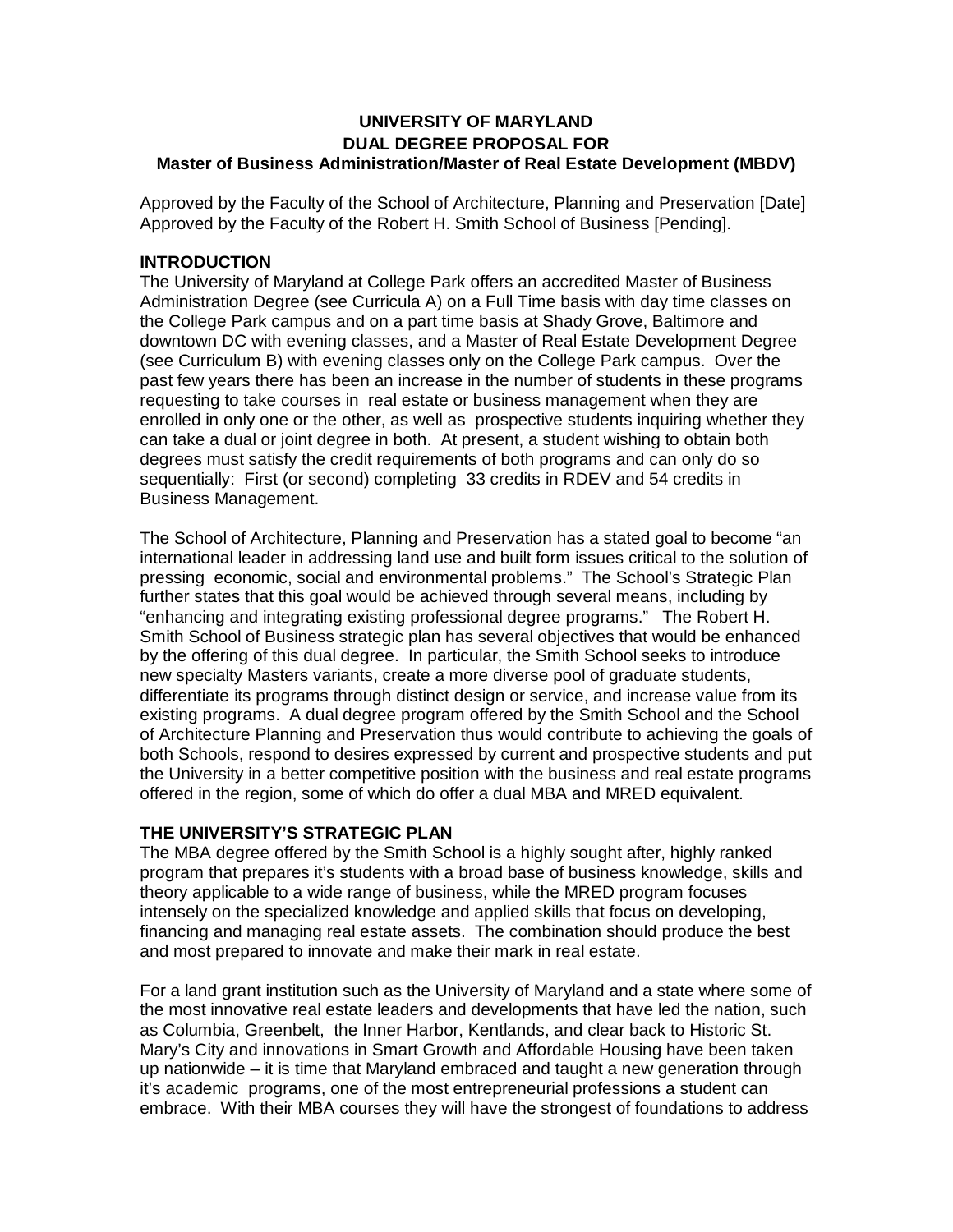## **UNIVERSITY OF MARYLAND DUAL DEGREE PROPOSAL FOR Master of Business Administration/Master of Real Estate Development (MBDV)**

Approved by the Faculty of the School of Architecture, Planning and Preservation [Date] Approved by the Faculty of the Robert H. Smith School of Business [Pending].

### **INTRODUCTION**

The University of Maryland at College Park offers an accredited Master of Business Administration Degree (see Curricula A) on a Full Time basis with day time classes on the College Park campus and on a part time basis at Shady Grove, Baltimore and downtown DC with evening classes, and a Master of Real Estate Development Degree (see Curriculum B) with evening classes only on the College Park campus. Over the past few years there has been an increase in the number of students in these programs requesting to take courses in real estate or business management when they are enrolled in only one or the other, as well as prospective students inquiring whether they can take a dual or joint degree in both. At present, a student wishing to obtain both degrees must satisfy the credit requirements of both programs and can only do so sequentially: First (or second) completing 33 credits in RDEV and 54 credits in Business Management.

The School of Architecture, Planning and Preservation has a stated goal to become "an international leader in addressing land use and built form issues critical to the solution of pressing economic, social and environmental problems." The School's Strategic Plan further states that this goal would be achieved through several means, including by "enhancing and integrating existing professional degree programs." The Robert H. Smith School of Business strategic plan has several objectives that would be enhanced by the offering of this dual degree. In particular, the Smith School seeks to introduce new specialty Masters variants, create a more diverse pool of graduate students, differentiate its programs through distinct design or service, and increase value from its existing programs. A dual degree program offered by the Smith School and the School of Architecture Planning and Preservation thus would contribute to achieving the goals of both Schools, respond to desires expressed by current and prospective students and put the University in a better competitive position with the business and real estate programs offered in the region, some of which do offer a dual MBA and MRED equivalent.

#### **THE UNIVERSITY'S STRATEGIC PLAN**

The MBA degree offered by the Smith School is a highly sought after, highly ranked program that prepares it's students with a broad base of business knowledge, skills and theory applicable to a wide range of business, while the MRED program focuses intensely on the specialized knowledge and applied skills that focus on developing, financing and managing real estate assets. The combination should produce the best and most prepared to innovate and make their mark in real estate.

For a land grant institution such as the University of Maryland and a state where some of the most innovative real estate leaders and developments that have led the nation, such as Columbia, Greenbelt, the Inner Harbor, Kentlands, and clear back to Historic St. Mary's City and innovations in Smart Growth and Affordable Housing have been taken up nationwide – it is time that Maryland embraced and taught a new generation through it's academic programs, one of the most entrepreneurial professions a student can embrace. With their MBA courses they will have the strongest of foundations to address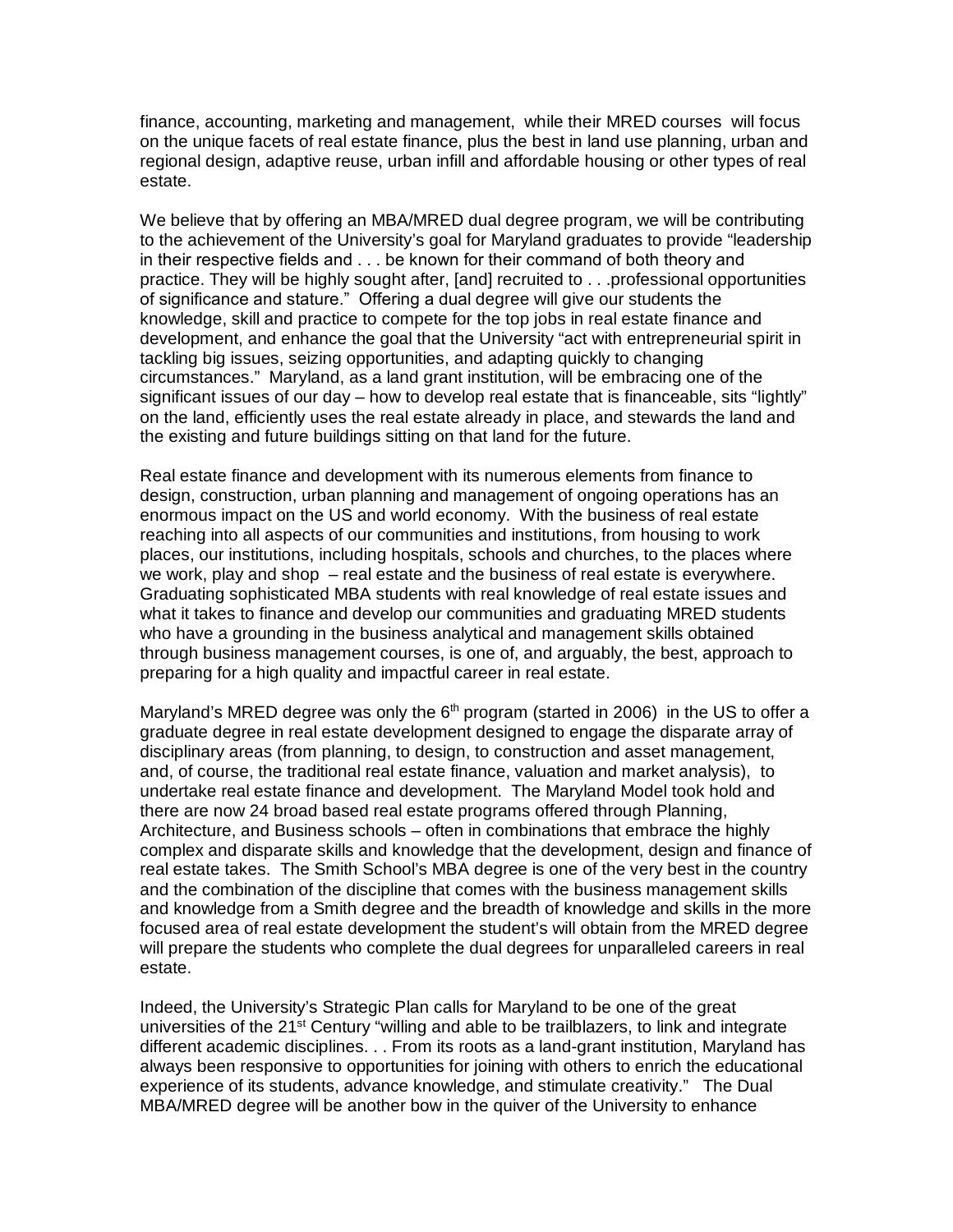finance, accounting, marketing and management, while their MRED courses will focus on the unique facets of real estate finance, plus the best in land use planning, urban and regional design, adaptive reuse, urban infill and affordable housing or other types of real estate.

We believe that by offering an MBA/MRED dual degree program, we will be contributing to the achievement of the University's goal for Maryland graduates to provide "leadership in their respective fields and . . . be known for their command of both theory and practice. They will be highly sought after, [and] recruited to . . .professional opportunities of significance and stature." Offering a dual degree will give our students the knowledge, skill and practice to compete for the top jobs in real estate finance and development, and enhance the goal that the University "act with entrepreneurial spirit in tackling big issues, seizing opportunities, and adapting quickly to changing circumstances." Maryland, as a land grant institution, will be embracing one of the significant issues of our day – how to develop real estate that is financeable, sits "lightly" on the land, efficiently uses the real estate already in place, and stewards the land and the existing and future buildings sitting on that land for the future.

Real estate finance and development with its numerous elements from finance to design, construction, urban planning and management of ongoing operations has an enormous impact on the US and world economy. With the business of real estate reaching into all aspects of our communities and institutions, from housing to work places, our institutions, including hospitals, schools and churches, to the places where we work, play and shop – real estate and the business of real estate is everywhere. Graduating sophisticated MBA students with real knowledge of real estate issues and what it takes to finance and develop our communities and graduating MRED students who have a grounding in the business analytical and management skills obtained through business management courses, is one of, and arguably, the best, approach to preparing for a high quality and impactful career in real estate.

Maryland's MRED degree was only the  $6<sup>th</sup>$  program (started in 2006) in the US to offer a graduate degree in real estate development designed to engage the disparate array of disciplinary areas (from planning, to design, to construction and asset management, and, of course, the traditional real estate finance, valuation and market analysis), to undertake real estate finance and development. The Maryland Model took hold and there are now 24 broad based real estate programs offered through Planning, Architecture, and Business schools – often in combinations that embrace the highly complex and disparate skills and knowledge that the development, design and finance of real estate takes. The Smith School's MBA degree is one of the very best in the country and the combination of the discipline that comes with the business management skills and knowledge from a Smith degree and the breadth of knowledge and skills in the more focused area of real estate development the student's will obtain from the MRED degree will prepare the students who complete the dual degrees for unparalleled careers in real estate.

Indeed, the University's Strategic Plan calls for Maryland to be one of the great universities of the 21<sup>st</sup> Century "willing and able to be trailblazers, to link and integrate different academic disciplines. . . From its roots as a land-grant institution, Maryland has always been responsive to opportunities for joining with others to enrich the educational experience of its students, advance knowledge, and stimulate creativity." The Dual MBA/MRED degree will be another bow in the quiver of the University to enhance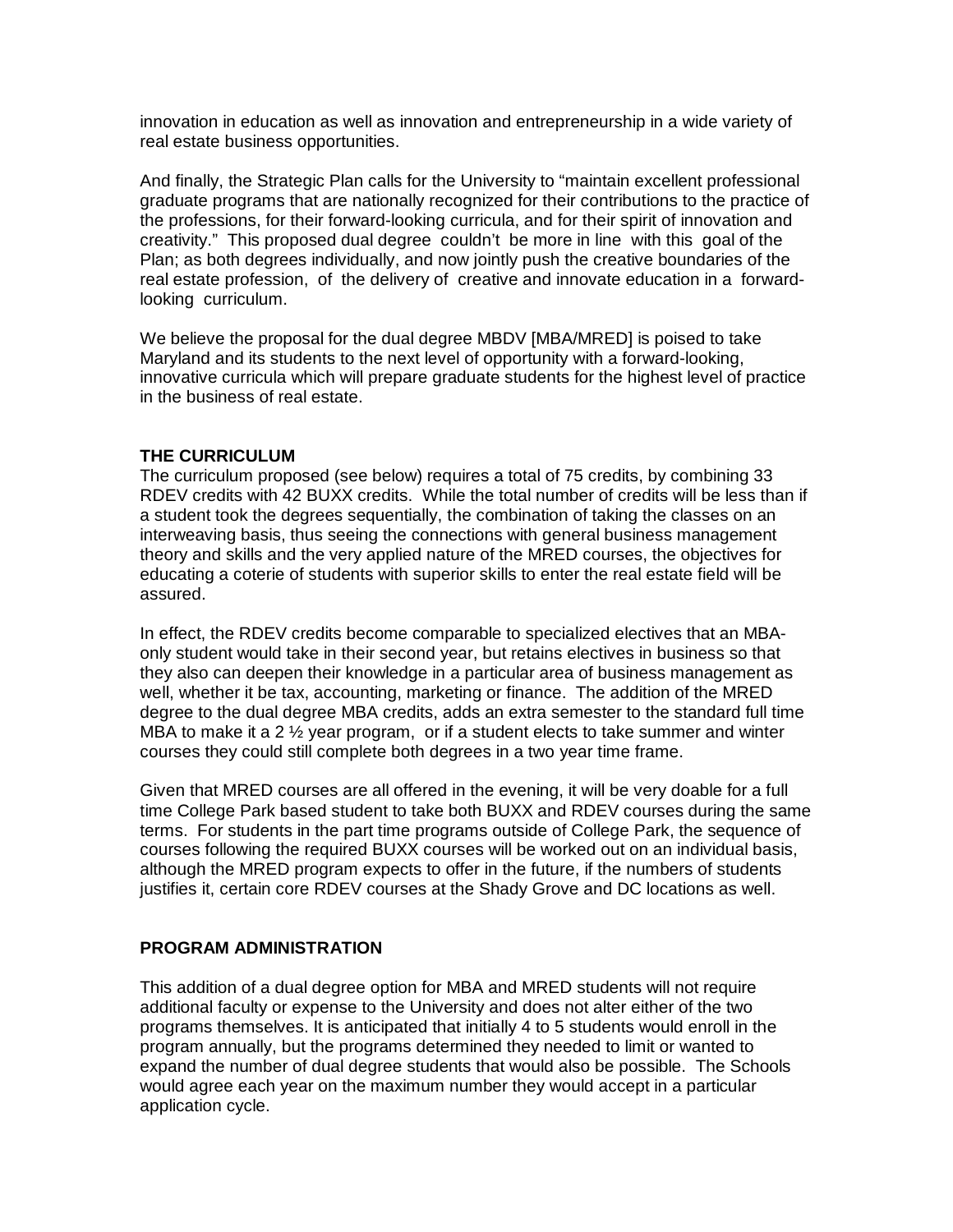innovation in education as well as innovation and entrepreneurship in a wide variety of real estate business opportunities.

And finally, the Strategic Plan calls for the University to "maintain excellent professional graduate programs that are nationally recognized for their contributions to the practice of the professions, for their forward-looking curricula, and for their spirit of innovation and creativity." This proposed dual degree couldn't be more in line with this goal of the Plan; as both degrees individually, and now jointly push the creative boundaries of the real estate profession, of the delivery of creative and innovate education in a forwardlooking curriculum.

We believe the proposal for the dual degree MBDV [MBA/MRED] is poised to take Maryland and its students to the next level of opportunity with a forward-looking, innovative curricula which will prepare graduate students for the highest level of practice in the business of real estate.

### **THE CURRICULUM**

The curriculum proposed (see below) requires a total of 75 credits, by combining 33 RDEV credits with 42 BUXX credits. While the total number of credits will be less than if a student took the degrees sequentially, the combination of taking the classes on an interweaving basis, thus seeing the connections with general business management theory and skills and the very applied nature of the MRED courses, the objectives for educating a coterie of students with superior skills to enter the real estate field will be assured.

In effect, the RDEV credits become comparable to specialized electives that an MBAonly student would take in their second year, but retains electives in business so that they also can deepen their knowledge in a particular area of business management as well, whether it be tax, accounting, marketing or finance. The addition of the MRED degree to the dual degree MBA credits, adds an extra semester to the standard full time MBA to make it a 2  $\frac{1}{2}$  year program, or if a student elects to take summer and winter courses they could still complete both degrees in a two year time frame.

Given that MRED courses are all offered in the evening, it will be very doable for a full time College Park based student to take both BUXX and RDEV courses during the same terms. For students in the part time programs outside of College Park, the sequence of courses following the required BUXX courses will be worked out on an individual basis, although the MRED program expects to offer in the future, if the numbers of students justifies it, certain core RDEV courses at the Shady Grove and DC locations as well.

#### **PROGRAM ADMINISTRATION**

This addition of a dual degree option for MBA and MRED students will not require additional faculty or expense to the University and does not alter either of the two programs themselves. It is anticipated that initially 4 to 5 students would enroll in the program annually, but the programs determined they needed to limit or wanted to expand the number of dual degree students that would also be possible. The Schools would agree each year on the maximum number they would accept in a particular application cycle.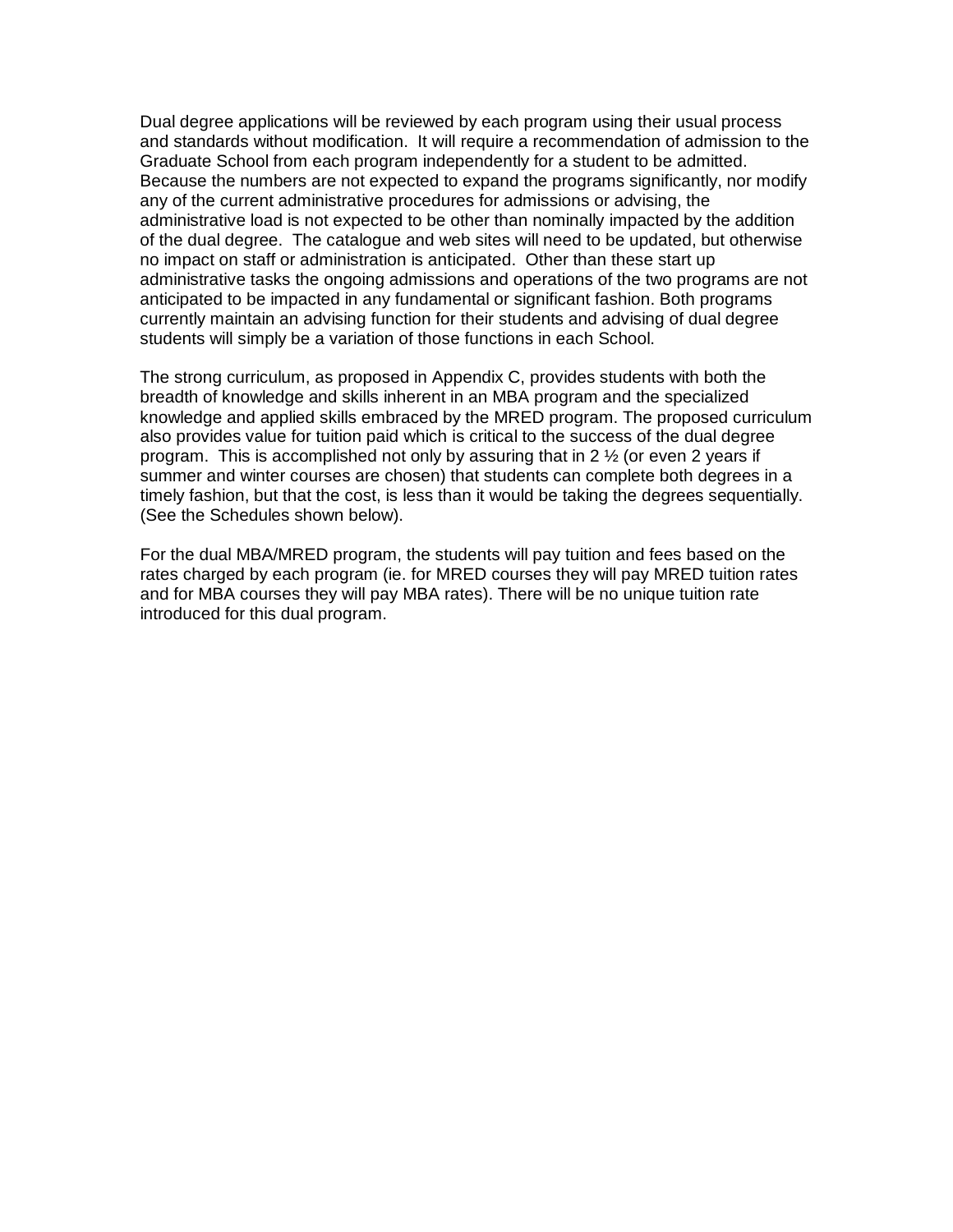Dual degree applications will be reviewed by each program using their usual process and standards without modification. It will require a recommendation of admission to the Graduate School from each program independently for a student to be admitted. Because the numbers are not expected to expand the programs significantly, nor modify any of the current administrative procedures for admissions or advising, the administrative load is not expected to be other than nominally impacted by the addition of the dual degree. The catalogue and web sites will need to be updated, but otherwise no impact on staff or administration is anticipated. Other than these start up administrative tasks the ongoing admissions and operations of the two programs are not anticipated to be impacted in any fundamental or significant fashion. Both programs currently maintain an advising function for their students and advising of dual degree students will simply be a variation of those functions in each School.

The strong curriculum, as proposed in Appendix C, provides students with both the breadth of knowledge and skills inherent in an MBA program and the specialized knowledge and applied skills embraced by the MRED program. The proposed curriculum also provides value for tuition paid which is critical to the success of the dual degree program. This is accomplished not only by assuring that in  $2\frac{1}{2}$  (or even 2 years if summer and winter courses are chosen) that students can complete both degrees in a timely fashion, but that the cost, is less than it would be taking the degrees sequentially. (See the Schedules shown below).

For the dual MBA/MRED program, the students will pay tuition and fees based on the rates charged by each program (ie. for MRED courses they will pay MRED tuition rates and for MBA courses they will pay MBA rates). There will be no unique tuition rate introduced for this dual program.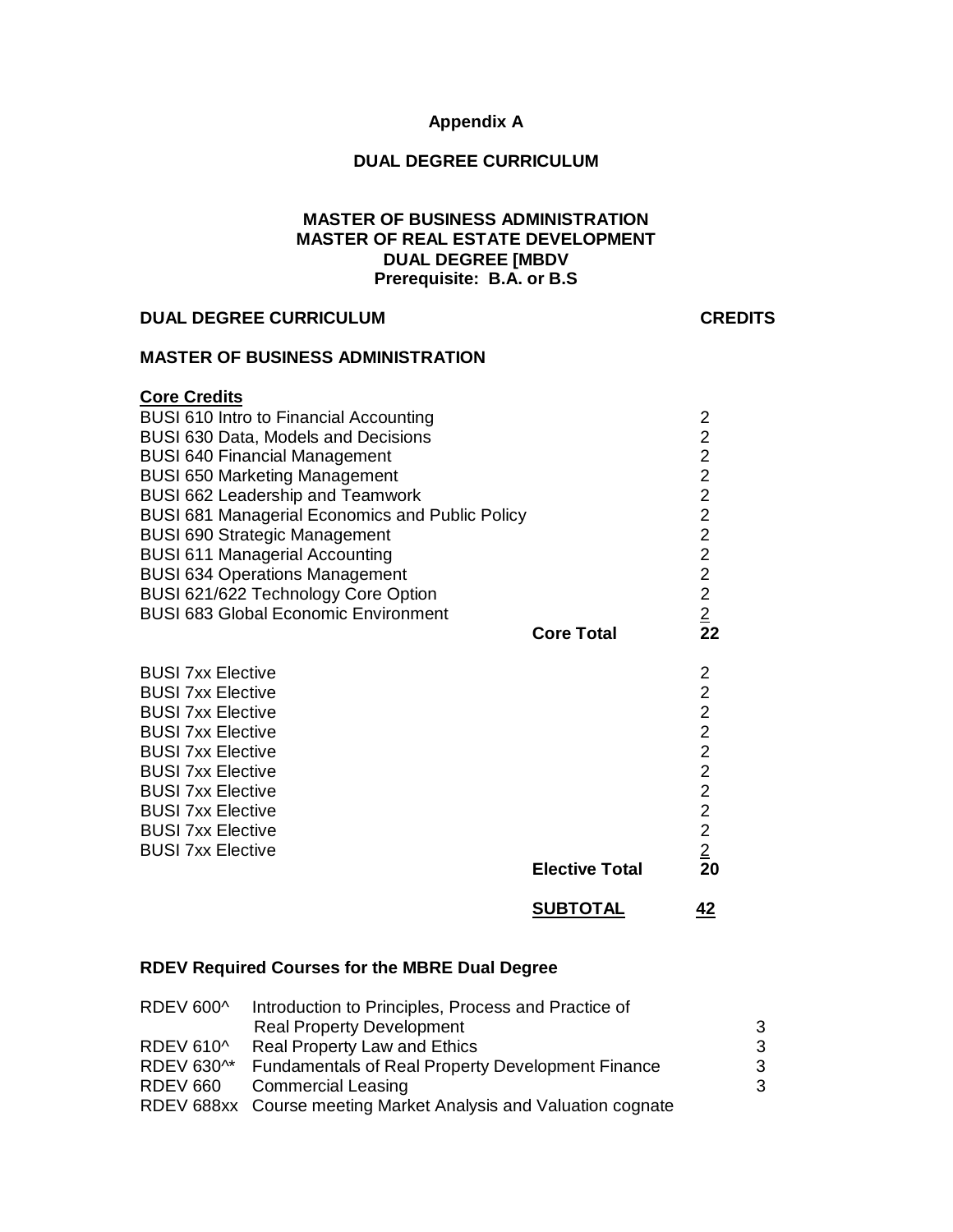#### **Appendix A**

#### **DUAL DEGREE CURRICULUM**

#### **MASTER OF BUSINESS ADMINISTRATION MASTER OF REAL ESTATE DEVELOPMENT DUAL DEGREE [MBDV Prerequisite: B.A. or B.S**

### **DUAL DEGREE CURRICULUM CREDITS**

## **MASTER OF BUSINESS ADMINISTRATION**

## **Core Credits**

| <b>BUSI 610 Intro to Financial Accounting</b>          | 2              |
|--------------------------------------------------------|----------------|
| <b>BUSI 630 Data, Models and Decisions</b>             | $\overline{2}$ |
| <b>BUSI 640 Financial Management</b>                   | $\overline{c}$ |
| <b>BUSI 650 Marketing Management</b>                   | $\overline{c}$ |
| <b>BUSI 662 Leadership and Teamwork</b>                | $\overline{2}$ |
| <b>BUSI 681 Managerial Economics and Public Policy</b> | $\frac{2}{2}$  |
| BUSI 690 Strategic Management                          |                |
| <b>BUSI 611 Managerial Accounting</b>                  | $\overline{2}$ |
| <b>BUSI 634 Operations Management</b>                  | $\overline{2}$ |
| BUSI 621/622 Technology Core Option                    | $\overline{2}$ |
| <b>BUSI 683 Global Economic Environment</b>            | $\frac{2}{2}$  |
| <b>Core Total</b>                                      |                |
| <b>BUSI 7xx Elective</b>                               |                |
| <b>BUSI 7xx Elective</b>                               | $\frac{2}{2}$  |
| <b>BUSI 7xx Elective</b>                               | $\overline{2}$ |
| <b>BUSI 7xx Elective</b>                               | $\overline{2}$ |
| <b>BUSI 7xx Elective</b>                               | $\overline{2}$ |
| <b>BUSI 7xx Elective</b>                               | $\overline{2}$ |
| <b>BUSI 7xx Elective</b>                               | $\overline{2}$ |
| <b>BUSI 7xx Elective</b>                               | $\overline{2}$ |
| <b>BUSI 7xx Elective</b>                               | $\frac{2}{20}$ |
| <b>BUSI 7xx Elective</b>                               |                |
| <b>Elective Total</b>                                  |                |
| <b>SUBTOTAL</b>                                        | 42             |

## **RDEV Required Courses for the MBRE Dual Degree**

| Introduction to Principles, Process and Practice of             |   |
|-----------------------------------------------------------------|---|
| <b>Real Property Development</b>                                | 3 |
| <b>Real Property Law and Ethics</b>                             | 3 |
| <b>Fundamentals of Real Property Development Finance</b>        | 3 |
| <b>Commercial Leasing</b>                                       | 3 |
| RDEV 688xx Course meeting Market Analysis and Valuation cognate |   |
|                                                                 |   |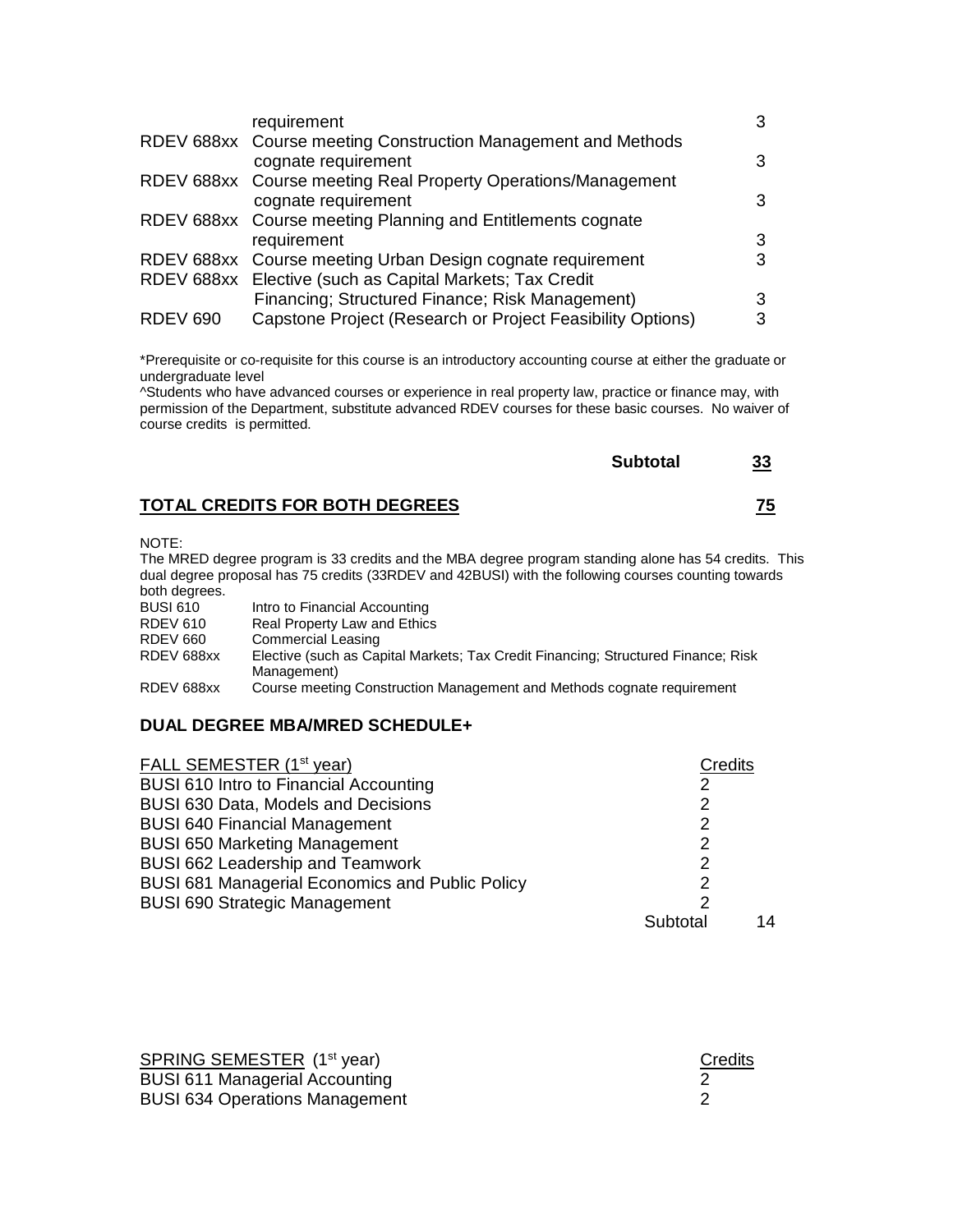| requirement                                                   |                                                                        |
|---------------------------------------------------------------|------------------------------------------------------------------------|
| RDEV 688xx Course meeting Construction Management and Methods |                                                                        |
|                                                               |                                                                        |
| RDEV 688xx Course meeting Real Property Operations/Management |                                                                        |
| cognate requirement                                           |                                                                        |
| RDEV 688xx Course meeting Planning and Entitlements cognate   |                                                                        |
| requirement                                                   | З                                                                      |
| RDEV 688xx Course meeting Urban Design cognate requirement    |                                                                        |
| RDEV 688xx Elective (such as Capital Markets; Tax Credit      |                                                                        |
|                                                               |                                                                        |
| Capstone Project (Research or Project Feasibility Options)    |                                                                        |
|                                                               | cognate requirement<br>Financing; Structured Finance; Risk Management) |

\*Prerequisite or co-requisite for this course is an introductory accounting course at either the graduate or undergraduate level

^Students who have advanced courses or experience in real property law, practice or finance may, with permission of the Department, substitute advanced RDEV courses for these basic courses. No waiver of course credits is permitted.

| <b>Subtotal</b> | 33 |
|-----------------|----|
|                 |    |

# **TOTAL CREDITS FOR BOTH DEGREES 75**

NOTE:

The MRED degree program is 33 credits and the MBA degree program standing alone has 54 credits. This dual degree proposal has 75 credits (33RDEV and 42BUSI) with the following courses counting towards both degrees.

| <b>BUSI 610</b> | Intro to Financial Accounting                                                     |
|-----------------|-----------------------------------------------------------------------------------|
| RDEV 610        | Real Property Law and Ethics                                                      |
| RDEV 660        | <b>Commercial Leasing</b>                                                         |
| RDEV 688xx      | Elective (such as Capital Markets; Tax Credit Financing; Structured Finance; Risk |
|                 | Management)                                                                       |
| RDEV 688xx      | Course meeting Construction Management and Methods cognate requirement            |

## **DUAL DEGREE MBA/MRED SCHEDULE+**

| FALL SEMESTER (1 <sup>st</sup> year)                   | <b>Credits</b> |    |
|--------------------------------------------------------|----------------|----|
| BUSI 610 Intro to Financial Accounting                 |                |    |
| BUSI 630 Data, Models and Decisions                    | 2              |    |
| <b>BUSI 640 Financial Management</b>                   | 2              |    |
| <b>BUSI 650 Marketing Management</b>                   | 2              |    |
| BUSI 662 Leadership and Teamwork                       | 2              |    |
| <b>BUSI 681 Managerial Economics and Public Policy</b> | 2              |    |
| <b>BUSI 690 Strategic Management</b>                   | 2              |    |
|                                                        | Subtotal       | 14 |

| SPRING SEMESTER (1 <sup>st</sup> year) | Credits |
|----------------------------------------|---------|
| <b>BUSI 611 Managerial Accounting</b>  |         |
| <b>BUSI 634 Operations Management</b>  |         |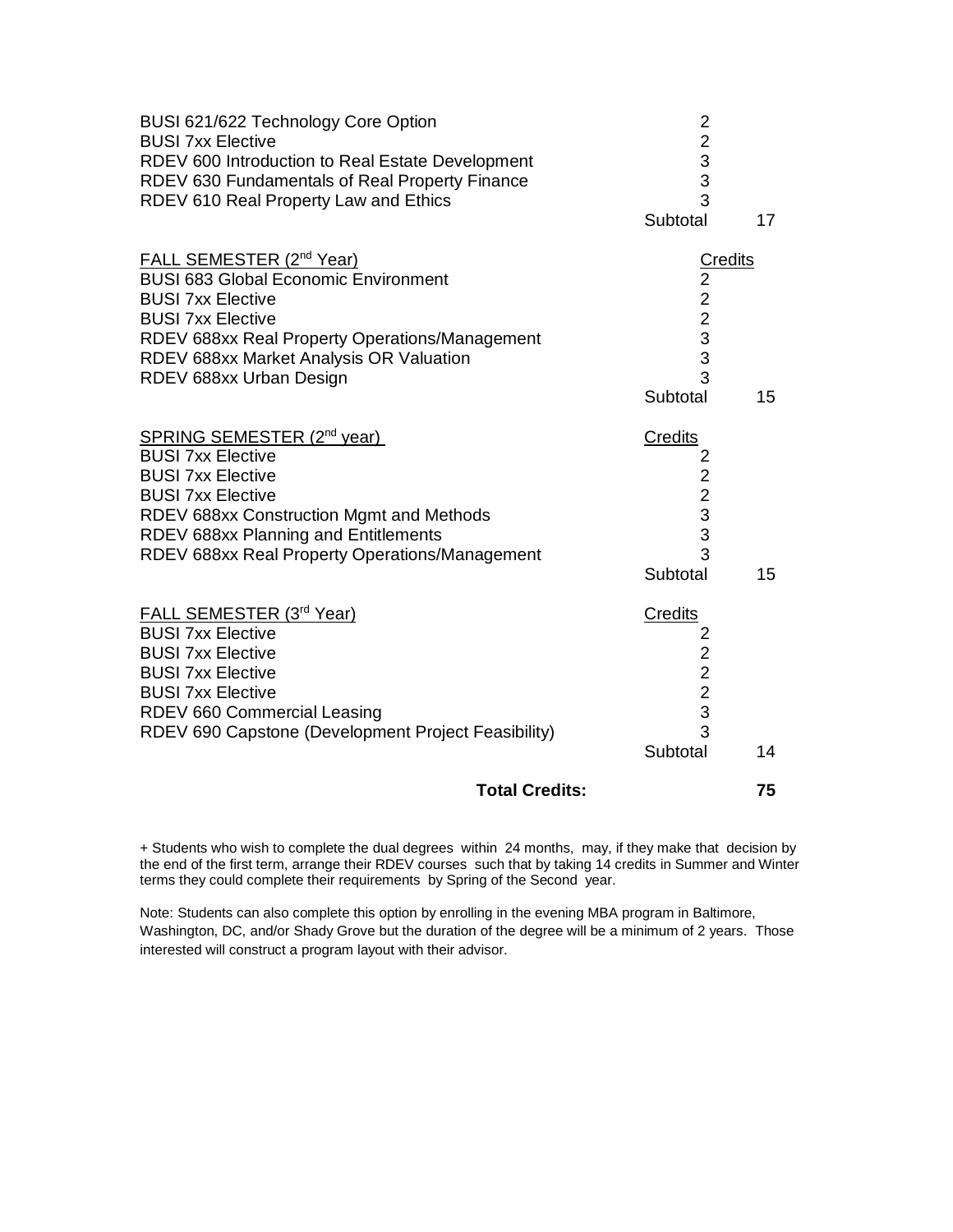| BUSI 621/622 Technology Core Option<br><b>BUSI 7xx Elective</b><br>RDEV 600 Introduction to Real Estate Development<br>RDEV 630 Fundamentals of Real Property Finance                                                                                               | $\overline{\mathbf{c}}$<br>$\begin{array}{c} 2 \\ 3 \\ 3 \end{array}$         |         |
|---------------------------------------------------------------------------------------------------------------------------------------------------------------------------------------------------------------------------------------------------------------------|-------------------------------------------------------------------------------|---------|
| RDEV 610 Real Property Law and Ethics                                                                                                                                                                                                                               | 3<br>Subtotal                                                                 | 17      |
| FALL SEMESTER (2 <sup>nd</sup> Year)<br><b>BUSI 683 Global Economic Environment</b><br><b>BUSI 7xx Elective</b><br><b>BUSI 7xx Elective</b><br>RDEV 688xx Real Property Operations/Management<br>RDEV 688xx Market Analysis OR Valuation<br>RDEV 688xx Urban Design | $\overline{2}$<br>$\begin{array}{c}\n 2 \\  2 \\  3 \\  \end{array}$<br>3     | Credits |
|                                                                                                                                                                                                                                                                     | Subtotal                                                                      | 15      |
| SPRING SEMESTER (2 <sup>nd</sup> year)<br><b>BUSI 7xx Elective</b><br><b>BUSI 7xx Elective</b><br><b>BUSI 7xx Elective</b><br>RDEV 688xx Construction Mgmt and Methods<br>RDEV 688xx Planning and Entitlements<br>RDEV 688xx Real Property Operations/Management    | <b>Credits</b><br>$2223$<br>3<br>$\overline{3}$<br>Subtotal                   | 15      |
| FALL SEMESTER (3rd Year)<br><b>BUSI 7xx Elective</b><br><b>BUSI 7xx Elective</b><br><b>BUSI 7xx Elective</b><br><b>BUSI 7xx Elective</b><br>RDEV 660 Commercial Leasing<br>RDEV 690 Capstone (Development Project Feasibility)                                      | Credits<br>2<br>$\begin{array}{c}\n2 \\ 2 \\ 3\n\end{array}$<br>3<br>Subtotal | 14      |
|                                                                                                                                                                                                                                                                     | <b>Total Credits:</b>                                                         | 75      |

+ Students who wish to complete the dual degrees within 24 months, may, if they make that decision by the end of the first term, arrange their RDEV courses such that by taking 14 credits in Summer and Winter terms they could complete their requirements by Spring of the Second year.

Note: Students can also complete this option by enrolling in the evening MBA program in Baltimore, Washington, DC, and/or Shady Grove but the duration of the degree will be a minimum of 2 years. Those interested will construct a program layout with their advisor.